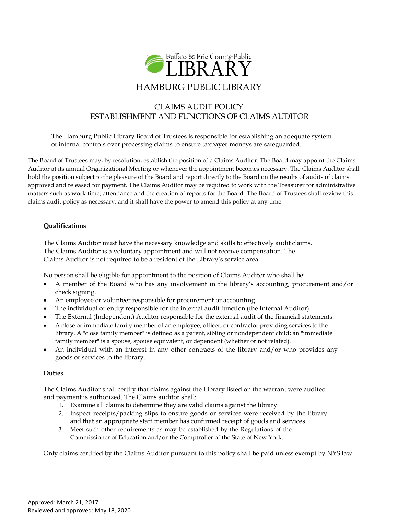

# CLAIMS AUDIT POLICY ESTABLISHMENT AND FUNCTIONS OF CLAIMS AUDITOR

The Hamburg Public Library Board of Trustees is responsible for establishing an adequate system of internal controls over processing claims to ensure taxpayer moneys are safeguarded.

The Board of Trustees may, by resolution, establish the position of a Claims Auditor. The Board may appoint the Claims Auditor at its annual Organizational Meeting or whenever the appointment becomes necessary. The Claims Auditor shall hold the position subject to the pleasure of the Board and report directly to the Board on the results of audits of claims approved and released for payment. The Claims Auditor may be required to work with the Treasurer for administrative matters such as work time, attendance and the creation of reports for the Board. The Board of Trustees shall review this claims audit policy as necessary, and it shall have the power to amend this policy at any time.

# **Qualifications**

The Claims Auditor must have the necessary knowledge and skills to effectively audit claims. The Claims Auditor is a voluntary appointment and will not receive compensation. The Claims Auditor is not required to be a resident of the Library's service area.

No person shall be eligible for appointment to the position of Claims Auditor who shall be:

- A member of the Board who has any involvement in the library's accounting, procurement and/or check signing.
- An employee or volunteer responsible for procurement or accounting.
- The individual or entity responsible for the internal audit function (the Internal Auditor).
- The External (Independent) Auditor responsible for the external audit of the financial statements.
- A close or immediate family member of an employee, officer, or contractor providing services to the library. A "close family member" is defined as a parent, sibling or nondependent child; an "immediate family member" is a spouse, spouse equivalent, or dependent (whether or not related).
- An individual with an interest in any other contracts of the library and/or who provides any goods or services to the library.

# **Duties**

The Claims Auditor shall certify that claims against the Library listed on the warrant were audited and payment is authorized. The Claims auditor shall:

- 1. Examine all claims to determine they are valid claims against the library.
- 2. Inspect receipts/packing slips to ensure goods or services were received by the library and that an appropriate staff member has confirmed receipt of goods and services.
- 3. Meet such other requirements as may be established by the Regulations of the Commissioner of Education and/or the Comptroller of the State of New York.

Only claims certified by the Claims Auditor pursuant to this policy shall be paid unless exempt by NYS law.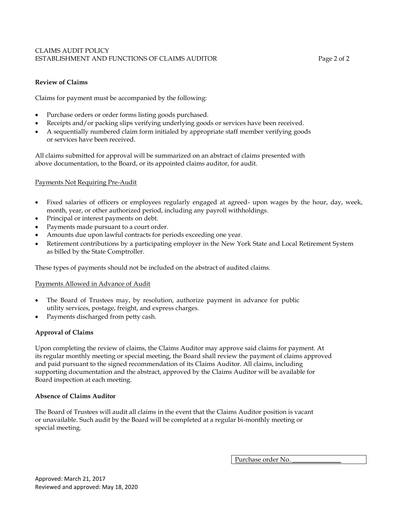# CLAIMS AUDIT POLICY ESTABLISHMENT AND FUNCTIONS OF CLAIMS AUDITOR Page 2 of 2

# **Review of Claims**

Claims for payment must be accompanied by the following:

- Purchase orders or order forms listing goods purchased.
- Receipts and/or packing slips verifying underlying goods or services have been received.
- A sequentially numbered claim form initialed by appropriate staff member verifying goods or services have been received.

All claims submitted for approval will be summarized on an abstract of claims presented with above documentation, to the Board, or its appointed claims auditor, for audit.

### Payments Not Requiring Pre-Audit

- Fixed salaries of officers or employees regularly engaged at agreed- upon wages by the hour, day, week, month, year, or other authorized period, including any payroll withholdings.
- Principal or interest payments on debt.
- Payments made pursuant to a court order.
- Amounts due upon lawful contracts for periods exceeding one year.
- Retirement contributions by a participating employer in the New York State and Local Retirement System as billed by the State Comptroller.

These types of payments should not be included on the abstract of audited claims.

### Payments Allowed in Advance of Audit

- The Board of Trustees may, by resolution, authorize payment in advance for public utility services, postage, freight, and express charges.
- Payments discharged from petty cash.

# **Approval of Claims**

Upon completing the review of claims, the Claims Auditor may approve said claims for payment. At its regular monthly meeting or special meeting, the Board shall review the payment of claims approved and paid pursuant to the signed recommendation of its Claims Auditor. All claims, including supporting documentation and the abstract, approved by the Claims Auditor will be available for Board inspection at each meeting.

### **Absence of Claims Auditor**

The Board of Trustees will audit all claims in the event that the Claims Auditor position is vacant or unavailable. Such audit by the Board will be completed at a regular bi-monthly meeting or special meeting.

Purchase order No.